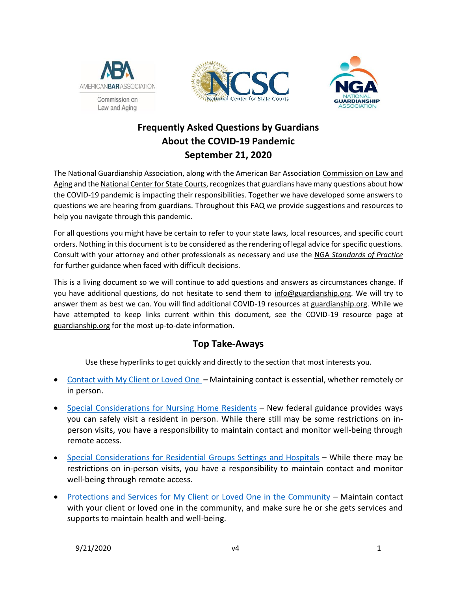





# **Frequently Asked Questions by Guardians About the COVID-19 Pandemic September 21, 2020**

The National Guardianship Association, along with the American Bar Association [Commission on Law and](https://www.americanbar.org/groups/law_aging/)  [Aging](https://www.americanbar.org/groups/law_aging/) and the [National Center for State Courts,](https://www.ncsc.org/) recognizes that guardians have many questions about how the COVID-19 pandemic is impacting their responsibilities. Together we have developed some answers to questions we are hearing from guardians. Throughout this FAQ we provide suggestions and resources to help you navigate through this pandemic.

For all questions you might have be certain to refer to your state laws, local resources, and specific court orders. Nothing in this document is to be considered as the rendering of legal advice for specific questions. Consult with your attorney and other professionals as necessary and use the NGA *[Standards of Practice](http://www.guardianship.org/standards)* for further guidance when faced with difficult decisions.

This is a living document so we will continue to add questions and answers as circumstances change. If you have additional questions, do not hesitate to send them to [info@guardianship.org.](mailto:info@guardianship.org) We will try to answer them as best we can. You will find additional COVID-19 resources a[t guardianship.org.](http://www.guardianship.org/) While we have attempted to keep links current within this document, see the COVID-19 resource page at [guardianship.org](https://www.guardianship.org/covid-19-resources/) for the most up-to-date information.

# **Top Take-Aways**

Use these hyperlinks to get quickly and directly to the section that most interests you.

- [Contact with My Client or Loved](#page-1-0) One **–** Maintaining contact is essential, whether remotely or in person.
- [Special Considerations](#page-3-0) for Nursing Home Residents New federal guidance provides ways you can safely visit a resident in person. While there still may be some restrictions on inperson visits, you have a responsibility to maintain contact and monitor well-being through remote access.
- Special Considerations for [Residential Groups Settings and Hospitals](#page-6-0) While there may be restrictions on in-person visits, you have a responsibility to maintain contact and monitor well-being through remote access.
- [Protections and Services for My Client or Loved One in the Community](#page-7-0) Maintain contact with your client or loved one in the community, and make sure he or she gets services and supports to maintain health and well-being.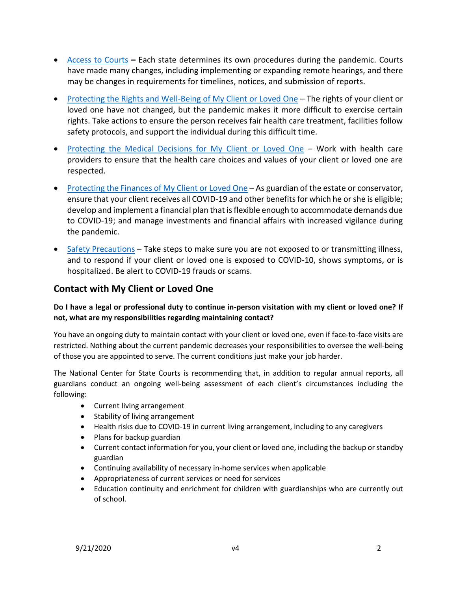- [Access to Courts](#page-8-0) **–** Each state determines its own procedures during the pandemic. Courts have made many changes, including implementing or expanding remote hearings, and there may be changes in requirements for timelines, notices, and submission of reports.
- [Protecting the Rights and Well-Being of My Client](#page-9-0) or Loved One The rights of your client or loved one have not changed, but the pandemic makes it more difficult to exercise certain rights. Take actions to ensure the person receives fair health care treatment, facilities follow safety protocols, and support the individual during this difficult time.
- [Protecting the Medical Decisions for My Client](#page-12-0) or Loved One Work with health care providers to ensure that the health care choices and values of your client or loved one are respected.
- [Protecting the Finances of My Client](#page-16-0) or Loved One As guardian of the estate or conservator, ensure that your client receives all COVID-19 and other benefits for which he or she is eligible; develop and implement a financial plan that is flexible enough to accommodate demands due to COVID-19; and manage investments and financial affairs with increased vigilance during the pandemic.
- [Safety Precautions](#page-18-0) Take steps to make sure you are not exposed to or transmitting illness, and to respond if your client or loved one is exposed to COVID-10, shows symptoms, or is hospitalized. Be alert to COVID-19 frauds or scams.

# <span id="page-1-0"></span>**Contact with My Client or Loved One**

# **Do I have a legal or professional duty to continue in-person visitation with my client or loved one? If not, what are my responsibilities regarding maintaining contact?**

You have an ongoing duty to maintain contact with your client or loved one, even if face-to-face visits are restricted. Nothing about the current pandemic decreases your responsibilities to oversee the well-being of those you are appointed to serve. The current conditions just make your job harder.

The National Center for State Courts is recommending that, in addition to regular annual reports, all guardians conduct an ongoing well-being assessment of each client's circumstances including the following:

- Current living arrangement
- Stability of living arrangement
- Health risks due to COVID-19 in current living arrangement, including to any caregivers
- Plans for backup guardian
- Current contact information for you, your client or loved one, including the backup or standby guardian
- Continuing availability of necessary in-home services when applicable
- Appropriateness of current services or need for services
- Education continuity and enrichment for children with guardianships who are currently out of school.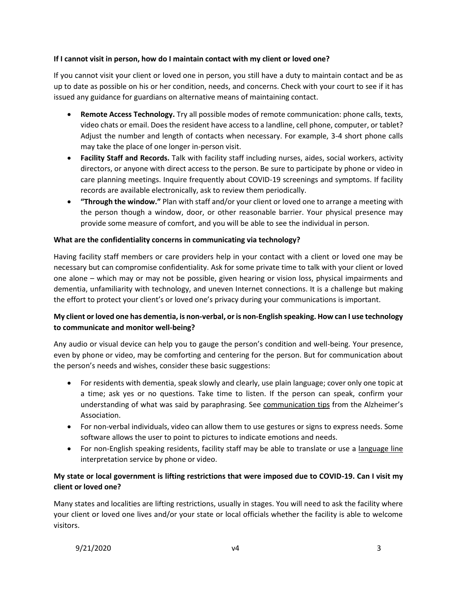### **If I cannot visit in person, how do I maintain contact with my client or loved one?**

If you cannot visit your client or loved one in person, you still have a duty to maintain contact and be as up to date as possible on his or her condition, needs, and concerns. Check with your court to see if it has issued any guidance for guardians on alternative means of maintaining contact.

- **Remote Access Technology.** Try all possible modes of remote communication: phone calls, texts, video chats or email. Does the resident have access to a landline, cell phone, computer, or tablet? Adjust the number and length of contacts when necessary. For example, 3-4 short phone calls may take the place of one longer in-person visit.
- **Facility Staff and Records.** Talk with facility staff including nurses, aides, social workers, activity directors, or anyone with direct access to the person. Be sure to participate by phone or video in care planning meetings. Inquire frequently about COVID-19 screenings and symptoms. If facility records are available electronically, ask to review them periodically.
- **"Through the window."** Plan with staff and/or your client or loved one to arrange a meeting with the person though a window, door, or other reasonable barrier. Your physical presence may provide some measure of comfort, and you will be able to see the individual in person.

#### **What are the confidentiality concerns in communicating via technology?**

Having facility staff members or care providers help in your contact with a client or loved one may be necessary but can compromise confidentiality. Ask for some private time to talk with your client or loved one alone – which may or may not be possible, given hearing or vision loss, physical impairments and dementia, unfamiliarity with technology, and uneven Internet connections. It is a challenge but making the effort to protect your client's or loved one's privacy during your communications is important.

# **My client or loved one has dementia, is non-verbal, or is non-English speaking. How can I use technology to communicate and monitor well-being?**

Any audio or visual device can help you to gauge the person's condition and well-being. Your presence, even by phone or video, may be comforting and centering for the person. But for communication about the person's needs and wishes, consider these basic suggestions:

- For residents with dementia, speak slowly and clearly, use plain language; cover only one topic at a time; ask yes or no questions. Take time to listen. If the person can speak, confirm your understanding of what was said by paraphrasing. See [communication tips](https://www.alz.org/help-support/caregiving/daily-care/communications) from the Alzheimer's Association[.](file:///C:/Users/pogachd/AppData/Local/Microsoft/Windows/INetCache/Content.Outlook/IW6P2S2B/alz%20assoc%20tips)
- For non-verbal individuals, video can allow them to use gestures or signs to express needs. Some software allows the user to point to pictures to indicate emotions and needs.
- For non-English speaking residents, facility staff may be able to translate or use a [language line](https://www.languageline.com/) interpretation service by phone or video.

# **My state or local government is lifting restrictions that were imposed due to COVID-19. Can I visit my client or loved one?**

Many states and localities are lifting restrictions, usually in stages. You will need to ask the facility where your client or loved one lives and/or your state or local officials whether the facility is able to welcome visitors.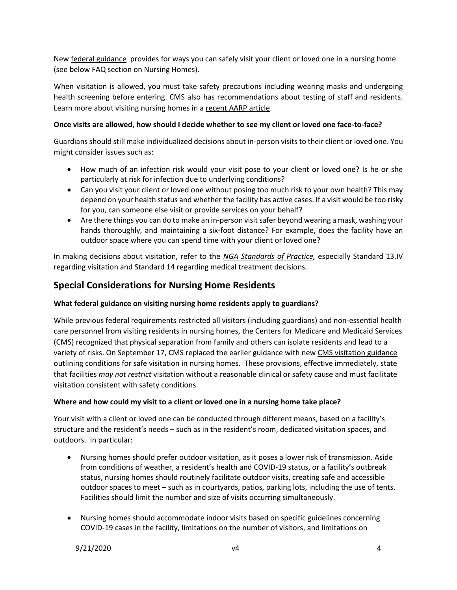New [federal guidance](https://www.cms.gov/files/document/qso-20-39-nh.pdf) provides for ways you can safely visit your client or loved one in a nursing home (see below FAQ section on Nursing Homes).

When visitation is allowed, you must take safety precautions including wearing masks and undergoing health screening before entering. CMS also has recommendations about testing of staff and residents. Learn more about visiting nursing homes in [a recent AARP article.](https://www.aarp.org/caregiving/health/info-2020/nursing-home-visits-after-coronavirus.html)

## **Once visits are allowed, how should I decide whether to see my client or loved one face-to-face?**

Guardians should still make individualized decisions about in-person visits to their client or loved one. You might consider issues such as:

- How much of an infection risk would your visit pose to your client or loved one? Is he or she particularly at risk for infection due to underlying conditions?
- Can you visit your client or loved one without posing too much risk to your own health? This may depend on your health status and whether the facility has active cases. If a visit would be too risky for you, can someone else visit or provide services on your behalf?
- Are there things you can do to make an in-person visit safer beyond wearing a mask, washing your hands thoroughly, and maintaining a six-foot distance? For example, does the facility have an outdoor space where you can spend time with your client or loved one?

In making decisions about visitation, refer to the *[NGA Standards of Practice,](http://www.guardianship.org/standards/)* especially Standard 13.IV regarding visitation and Standard 14 regarding medical treatment decisions.

# <span id="page-3-0"></span>**Special Considerations for Nursing Home Residents**

## **What federal guidance on visiting nursing home residents apply to guardians?**

While previous federal requirements restricted all visitors (including guardians) and non-essential health care personnel from visiting residents in nursing homes, the Centers for Medicare and Medicaid Services (CMS) recognized that physical separation from family and others can isolate residents and lead to a variety of risks. On September 17, CMS replaced the earlier guidance with ne[w CMS visitation guidance](https://www.cms.gov/files/document/qso-20-39-nh.pdf) outlining conditions for safe visitation in nursing homes. These provisions, effective immediately, state that facilities *may not restrict* visitation without a reasonable clinical or safety cause and must facilitate visitation consistent with safety conditions.

## **Where and how could my visit to a client or loved one in a nursing home take place?**

Your visit with a client or loved one can be conducted through different means, based on a facility's structure and the resident's needs – such as in the resident's room, dedicated visitation spaces, and outdoors. In particular:

- Nursing homes should prefer outdoor visitation, as it poses a lower risk of transmission. Aside from conditions of weather, a resident's health and COVID-19 status, or a facility's outbreak status, nursing homes should routinely facilitate outdoor visits, creating safe and accessible outdoor spaces to meet – such as in courtyards, patios, parking lots, including the use of tents. Facilities should limit the number and size of visits occurring simultaneously.
- Nursing homes should accommodate indoor visits based on specific guidelines concerning COVID-19 cases in the facility, limitations on the number of visitors, and limitations on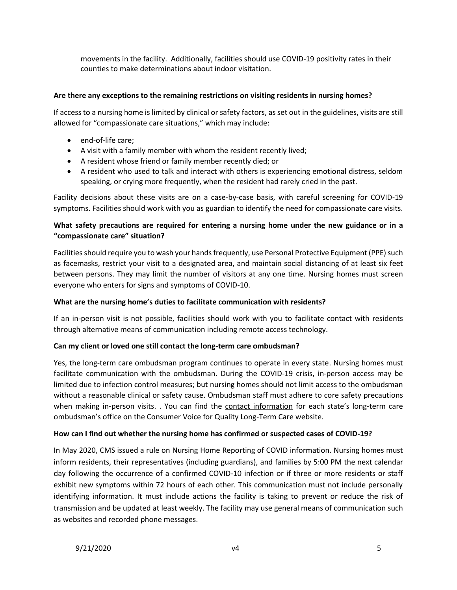movements in the facility. Additionally, facilities should use COVID-19 positivity rates in their counties to make determinations about indoor visitation.

#### **Are there any exceptions to the remaining restrictions on visiting residents in nursing homes?**

If access to a nursing home is limited by clinical or safety factors, asset out in the guidelines, visits are still allowed for "compassionate care situations," which may include:

- end-of-life care:
- A visit with a family member with whom the resident recently lived;
- A resident whose friend or family member recently died; or
- A resident who used to talk and interact with others is experiencing emotional distress, seldom speaking, or crying more frequently, when the resident had rarely cried in the past.

Facility decisions about these visits are on a case-by-case basis, with careful screening for COVID-19 symptoms. Facilities should work with you as guardian to identify the need for compassionate care visits.

## **What safety precautions are required for entering a nursing home under the new guidance or in a "compassionate care" situation?**

Facilities should require you to wash your hands frequently, use Personal Protective Equipment (PPE) such as facemasks, restrict your visit to a designated area, and maintain social distancing of at least six feet between persons. They may limit the number of visitors at any one time. Nursing homes must screen everyone who enters for signs and symptoms of COVID-10.

#### **What are the nursing home's duties to facilitate communication with residents?**

If an in-person visit is not possible, facilities should work with you to facilitate contact with residents through alternative means of communication including remote access technology.

#### **Can my client or loved one still contact the long-term care ombudsman?**

Yes, the long-term care ombudsman program continues to operate in every state. Nursing homes must facilitate communication with the ombudsman. During the COVID-19 crisis, in-person access may be limited due to infection control measures; but nursing homes should not limit access to the ombudsman without a reasonable clinical or safety cause. Ombudsman staff must adhere to core safety precautions when making in-person visits. . You can find the [contact information](https://theconsumervoice.org/get_help) for each state's long-term care ombudsman's office on the Consumer Voice for Quality Long-Term Care website.

#### <span id="page-4-0"></span>**How can I find out whether the nursing home has confirmed or suspected cases of COVID-19?**

In May 2020, CMS issued a rule on [Nursing Home Reporting of COVID](https://theconsumervoice.org/news/detail/latest/cms-rule-on-nursing-home-reporting-covid-19) information. Nursing homes must inform residents, their representatives (including guardians), and families by 5:00 PM the next calendar day following the occurrence of a confirmed COVID-10 infection or if three or more residents or staff exhibit new symptoms within 72 hours of each other. This communication must not include personally identifying information. It must include actions the facility is taking to prevent or reduce the risk of transmission and be updated at least weekly. The facility may use general means of communication such as websites and recorded phone messages.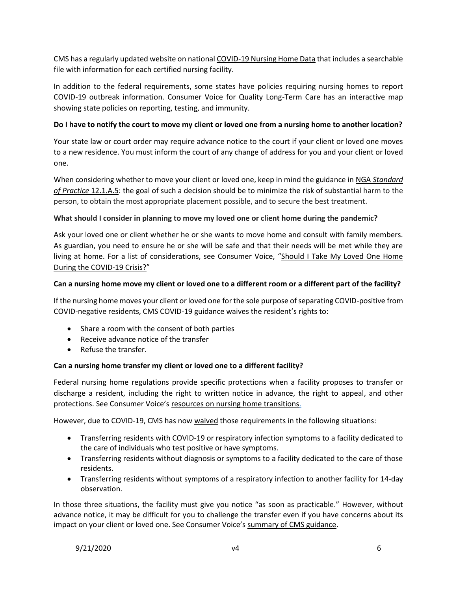CMS has a regularly updated website on national [COVID-19 Nursing Home Data](https://data.cms.gov/stories/s/COVID-19-Nursing-Home-Data/bkwz-xpvg) that includes a searchable file with information for each certified nursing facility.

In addition to the federal requirements, some states have policies requiring nursing homes to report COVID-19 outbreak information. Consumer Voice for Quality Long-Term Care has an interactive map showing state policies on reporting, testing, and immunity.

#### **Do I have to notify the court to move my client or loved one from a nursing home to another location?**

Your state law or court order may require advance notice to the court if your client or loved one moves to a new residence. You must inform the court of any change of address for you and your client or loved one.

When considering whether to move your client or loved one, keep in mind the guidance in NGA *[Standard](http://www.guardianship.org/standards)  [of Practice](http://www.guardianship.org/standards)* 12.1.A.5: the goal of such a decision should be to minimize the risk of substantial harm to the person, to obtain the most appropriate placement possible, and to secure the best treatment.

#### **What should I consider in planning to move my loved one or client home during the pandemic?**

Ask your loved one or client whether he or she wants to move home and consult with family members. As guardian, you need to ensure he or she will be safe and that their needs will be met while they are living at home. For a list of considerations, see Consumer Voice, "Should I Take My Loved One Home [During the COVID-19 Crisis?](https://ncea.acl.gov/NCEA/media/Publication/CV_TakingAResidentHome.PDF)"

#### **Can a nursing home move my client or loved one to a different room or a different part of the facility?**

If the nursing home moves your client or loved one for the sole purpose of separating COVID-positive from COVID-negative residents, CMS COVID-19 guidance waives the resident's rights to:

- Share a room with the consent of both parties
- Receive advance notice of the transfer
- Refuse the transfer.

## <span id="page-5-0"></span>**Can a nursing home transfer my client or loved one to a different facility?**

Federal nursing home regulations provide specific protections when a facility proposes to transfer or discharge a resident, including the right to written notice in advance, the right to appeal, and other protections. See Consumer Voice's [resources on nursing home transitions.](https://theconsumervoice.org/issues/other-issues-and-resources/transfer-discharge)

However, due to COVID-19, CMS has now *waived* those requirements in the following situations:

- Transferring residents with COVID-19 or respiratory infection symptoms to a facility dedicated to the care of individuals who test positive or have symptoms.
- Transferring residents without diagnosis or symptoms to a facility dedicated to the care of those residents.
- Transferring residents without symptoms of a respiratory infection to another facility for 14-day observation.

In those three situations, the facility must give you notice "as soon as practicable." However, without advance notice, it may be difficult for you to challenge the transfer even if you have concerns about its impact on your client or loved one. See Consumer Voice's [summary of CMS guidance.](https://theconsumervoice.org/uploads/files/actions-and-news-updates/Summary_of_CMS_Waived_Regulations_-_COVID-19_4-6-20.pdf)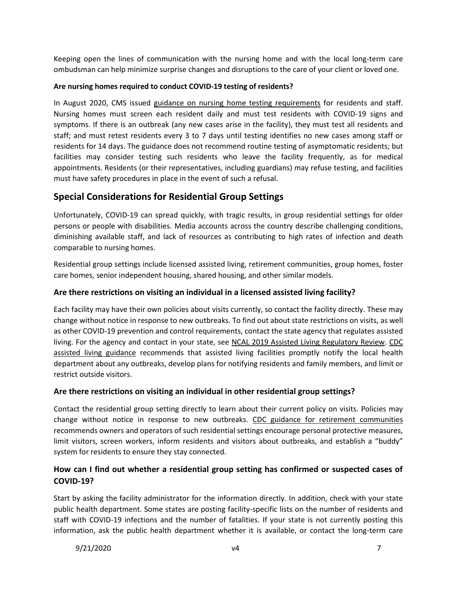Keeping open the lines of communication with the nursing home and with the local long-term care ombudsman can help minimize surprise changes and disruptions to the care of your client or loved one.

## <span id="page-6-1"></span>**Are nursing homes required to conduct COVID-19 testing of residents?**

In August 2020, CMS issued [guidance on nursing home testing requirements](https://www.cms.gov/files/document/qso-20-38-nh.pdf) for residents and staff. Nursing homes must screen each resident daily and must test residents with COVID-19 signs and symptoms. If there is an outbreak (any new cases arise in the facility), they must test all residents and staff; and must retest residents every 3 to 7 days until testing identifies no new cases among staff or residents for 14 days. The guidance does not recommend routine testing of asymptomatic residents; but facilities may consider testing such residents who leave the facility frequently, as for medical appointments. Residents (or their representatives, including guardians) may refuse testing, and facilities must have safety procedures in place in the event of such a refusal.

# <span id="page-6-0"></span>**Special Considerations for Residential Group Settings**

Unfortunately, COVID-19 can spread quickly, with tragic results, in group residential settings for older persons or people with disabilities. Media accounts across the country describe challenging conditions, diminishing available staff, and lack of resources as contributing to high rates of infection and death comparable to nursing homes.

Residential group settings include licensed assisted living, retirement communities, group homes, foster care homes, senior independent housing, shared housing, and other similar models.

## **Are there restrictions on visiting an individual in a licensed assisted living facility?**

Each facility may have their own policies about visits currently, so contact the facility directly. These may change without notice in response to new outbreaks. To find out about state restrictions on visits, as well as other COVID-19 prevention and control requirements, contact the state agency that regulates assisted living. For the agency and contact in your state, see [NCAL 2019 Assisted Living Regulatory Review.](https://www.ahcancal.org/ncal/advocacy/regs/Documents/2019_reg_review.pdf) [CDC](https://www.cdc.gov/coronavirus/2019-ncov/hcp/assisted-living.html)  [assisted living guidance](https://www.cdc.gov/coronavirus/2019-ncov/hcp/assisted-living.html) recommends that assisted living facilities promptly notify the local health department about any outbreaks, develop plans for notifying residents and family members, and limit or restrict outside visitors.

## **Are there restrictions on visiting an individual in other residential group settings?**

Contact the residential group setting directly to learn about their current policy on visits. Policies may change without notice in response to new outbreaks. CDC guidance [for retirement communities](https://www.cdc.gov/coronavirus/2019-ncov/community/retirement/guidance-retirement-response.html) recommends owners and operators of such residential settings encourage personal protective measures, limit visitors, screen workers, inform residents and visitors about outbreaks, and establish a "buddy" system for residents to ensure they stay connected.

# **How can I find out whether a residential group setting has confirmed or suspected cases of COVID-19?**

Start by asking the facility administrator for the information directly. In addition, check with your state public health department. Some states are posting facility-specific lists on the number of residents and staff with COVID-19 infections and the number of fatalities. If your state is not currently posting this information, ask the public health department whether it is available, or contact the long-term care

9/21/2020 v4 7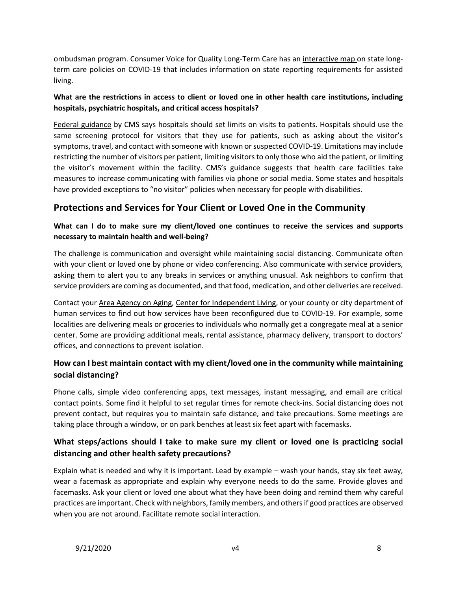ombudsman program. Consumer Voice for Quality Long-Term Care has a[n interactive map o](https://theconsumervoice.org/state-information)n state longterm care policies on COVID-19 that includes information on state reporting requirements for assisted living.

# **What are the restrictions in access to client or loved one in other health care institutions, including hospitals, psychiatric hospitals, and critical access hospitals?**

[Federal guidance](https://www.cms.gov/files/document/qso-20-13-hospitals-cahs-revised.pdf) by CMS says hospitals should set limits on visits to patients. Hospitals should use the same screening protocol for visitors that they use for patients, such as asking about the visitor's symptoms, travel, and contact with someone with known or suspected COVID-19. Limitations may include restricting the number of visitors per patient, limiting visitors to only those who aid the patient, or limiting the visitor's movement within the facility. CMS's guidance suggests that health care facilities take measures to increase communicating with families via phone or social media. Some states and hospitals have provided exceptions to "no visitor" policies when necessary for people with disabilities.

# <span id="page-7-0"></span>**Protections and Services for Your Client or Loved One in the Community**

# **What can I do to make sure my client/loved one continues to receive the services and supports necessary to maintain health and well-being?**

The challenge is communication and oversight while maintaining social distancing. Communicate often with your client or loved one by phone or video conferencing. Also communicate with service providers, asking them to alert you to any breaks in services or anything unusual. Ask neighbors to confirm that service providers are coming as documented, and that food, medication, and other deliveries are received.

Contact your [Area Agency on Aging,](https://eldercare.acl.gov/Public/About/Aging_Network/AAA.aspx) [Center for Independent Living,](https://www.ilru.org/projects/cil-net/cil-center-and-association-directory) or your county or city department of human services to find out how services have been reconfigured due to COVID-19. For example, some localities are delivering meals or groceries to individuals who normally get a congregate meal at a senior center. Some are providing additional meals, rental assistance, pharmacy delivery, transport to doctors' offices, and connections to prevent isolation.

# **How can I best maintain contact with my client/loved one in the community while maintaining social distancing?**

Phone calls, simple video conferencing apps, text messages, instant messaging, and email are critical contact points. Some find it helpful to set regular times for remote check-ins. Social distancing does not prevent contact, but requires you to maintain safe distance, and take precautions. Some meetings are taking place through a window, or on park benches at least six feet apart with facemasks.

# **What steps/actions should I take to make sure my client or loved one is practicing social distancing and other health safety precautions?**

Explain what is needed and why it is important. Lead by example – wash your hands, stay six feet away, wear a facemask as appropriate and explain why everyone needs to do the same. Provide gloves and facemasks. Ask your client or loved one about what they have been doing and remind them why careful practices are important. Check with neighbors, family members, and others if good practices are observed when you are not around. Facilitate remote social interaction.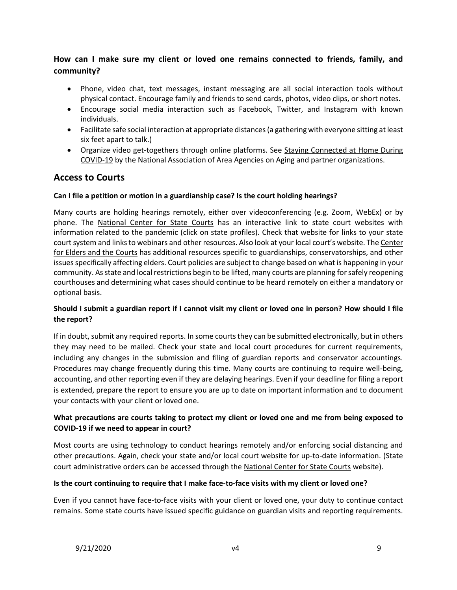# **How can I make sure my client or loved one remains connected to friends, family, and community?**

- Phone, video chat, text messages, instant messaging are all social interaction tools without physical contact. Encourage family and friends to send cards, photos, video clips, or short notes.
- Encourage social media interaction such as Facebook, Twitter, and Instagram with known individuals.
- Facilitate safe social interaction at appropriate distances (a gathering with everyone sitting at least six feet apart to talk.)
- <span id="page-8-0"></span>• Organize video get-togethers through online platforms. See [Staying Connected at Home During](https://www.n4a.org/files/EL-engAGED_Stay%20Home_Final-508.pdf)  [COVID-19](https://www.n4a.org/files/EL-engAGED_Stay%20Home_Final-508.pdf) by the National Association of Area Agencies on Aging and partner organizations.

# **Access to Courts**

## **Can I file a petition or motion in a guardianship case? Is the court holding hearings?**

Many courts are holding hearings remotely, either over videoconferencing (e.g. Zoom, WebEx) or by phone. The [National Center for State Courts](https://www.ncsc.org/pandemic) has an interactive link to state court websites with information related to the pandemic (click on state profiles). Check that website for links to your state court system and links to webinars and other resources. Also look at your local court's website. Th[e Center](http://www.eldersandcourts.org/Pandemic-Resources.aspx)  [for Elders and the Courts](http://www.eldersandcourts.org/Pandemic-Resources.aspx) has additional resources specific to guardianships, conservatorships, and other issues specifically affecting elders. Court policies are subject to change based on what is happening in your community. As state and local restrictions begin to be lifted, many courts are planning for safely reopening courthouses and determining what cases should continue to be heard remotely on either a mandatory or optional basis.

## **Should I submit a guardian report if I cannot visit my client or loved one in person? How should I file the report?**

If in doubt, submit any required reports. In some courts they can be submitted electronically, but in others they may need to be mailed. Check your state and local court procedures for current requirements, including any changes in the submission and filing of guardian reports and conservator accountings. Procedures may change frequently during this time. Many courts are continuing to require well-being, accounting, and other reporting even if they are delaying hearings. Even if your deadline for filing a report is extended, prepare the report to ensure you are up to date on important information and to document your contacts with your client or loved one.

# **What precautions are courts taking to protect my client or loved one and me from being exposed to COVID-19 if we need to appear in court?**

Most courts are using technology to conduct hearings remotely and/or enforcing social distancing and other precautions. Again, check your state and/or local court website for up-to-date information. (State court administrative orders can be accessed through th[e National Center for State Courts](https://www.ncsc.org/) website).

## **Is the court continuing to require that I make face-to-face visits with my client or loved one?**

Even if you cannot have face-to-face visits with your client or loved one, your duty to continue contact remains. Some state courts have issued specific guidance on guardian visits and reporting requirements.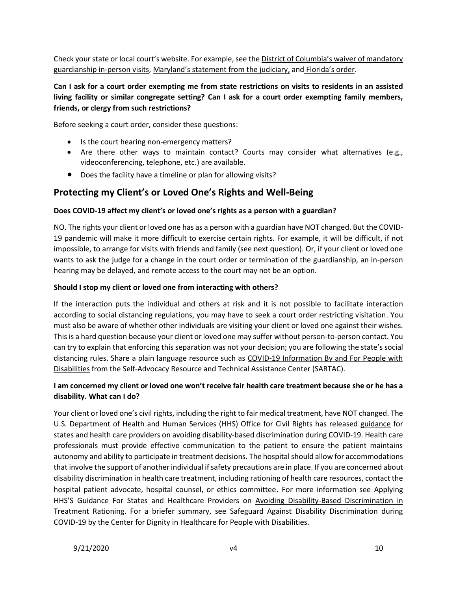Check your state or local court's website. For example, see the [District of Columbia's waiver of mandatory](https://www.dccourts.gov/sites/default/files/matters-docs/COVID-19-Visitation.pdf)  [guardianship in-person visits,](https://www.dccourts.gov/sites/default/files/matters-docs/COVID-19-Visitation.pdf) [Maryland's statement from the judiciary](https://www.mdcourts.gov/sites/default/files/import/coronavirus/covid19statementonguardianshipmatters.pdf), and [Florida's order](http://elderaffairs.state.fl.us/doea/oppg/docs/2020-03-31%20DOEA%20EO20-01%20Revised.pdf).

# **Can I ask for a court order exempting me from state restrictions on visits to residents in an assisted living facility or similar congregate setting? Can I ask for a court order exempting family members, friends, or clergy from such restrictions?**

Before seeking a court order, consider these questions:

- Is the court hearing non-emergency matters?
- Are there other ways to maintain contact? Courts may consider what alternatives (e.g., videoconferencing, telephone, etc.) are available.
- <span id="page-9-0"></span>• Does the facility have a timeline or plan for allowing visits?

# **Protecting my Client's or Loved One's Rights and Well-Being**

### **Does COVID-19 affect my client's or loved one's rights as a person with a guardian?**

NO. The rights your client or loved one has as a person with a guardian have NOT changed. But the COVID-19 pandemic will make it more difficult to exercise certain rights. For example, it will be difficult, if not impossible, to arrange for visits with friends and family (see next question). Or, if your client or loved one wants to ask the judge for a change in the court order or termination of the guardianship, an in-person hearing may be delayed, and remote access to the court may not be an option.

#### **Should I stop my client or loved one from interacting with others?**

If the interaction puts the individual and others at risk and it is not possible to facilitate interaction according to social distancing regulations, you may have to seek a court order restricting visitation. You must also be aware of whether other individuals are visiting your client or loved one against their wishes. This is a hard question because your client or loved one may suffer without person-to-person contact. You can try to explain that enforcing this separation was not your decision; you are following the state's social distancing rules. Share a plain language resource such as [COVID-19 Information By and For People with](https://selfadvocacyinfo.org/wp-content/uploads/2020/03/Plain-Language-Information-on-Coronavirus.pdf)  [Disabilities](https://selfadvocacyinfo.org/wp-content/uploads/2020/03/Plain-Language-Information-on-Coronavirus.pdf) from the Self-Advocacy Resource and Technical Assistance Center (SARTAC).

## **I am concerned my client or loved one won't receive fair health care treatment because she or he has a disability. What can I do?**

Your client or loved one's civil rights, including the right to fair medical treatment, have NOT changed. The U.S. Department of Health and Human Services (HHS) Office for Civil Rights has released [guidance](https://www.hhs.gov/sites/default/files/ocr-bulletin-3-28-20.pdf?language=es) for states and health care providers on avoiding disability-based discrimination during COVID-19. Health care professionals must provide effective communication to the patient to ensure the patient maintains autonomy and ability to participate in treatment decisions. The hospital should allow for accommodations that involve the support of another individual if safety precautions are in place. If you are concerned about disability discrimination in health care treatment, including rationing of health care resources, contact the hospital patient advocate, hospital counsel, or ethics committee. For more information see Applying HHS'S Guidance For States and Healthcare Providers on [Avoiding Disability-Based Discrimination in](https://dredf.org/avoiding-disability-based-discrimination-in-treatment-rationing/)  [Treatment Rationing.](https://dredf.org/avoiding-disability-based-discrimination-in-treatment-rationing/) For a briefer summary, see [Safeguard Against Disability Discrimination during](https://www.ucucedd.org/wp-content/uploads/2020/04/Center-for-Dignity-in-Health-Care-fact-sheet-on-rights-for-people-with-disabilities.pdf)  [COVID-19](https://www.ucucedd.org/wp-content/uploads/2020/04/Center-for-Dignity-in-Health-Care-fact-sheet-on-rights-for-people-with-disabilities.pdf) by the Center for Dignity in Healthcare for People with Disabilities.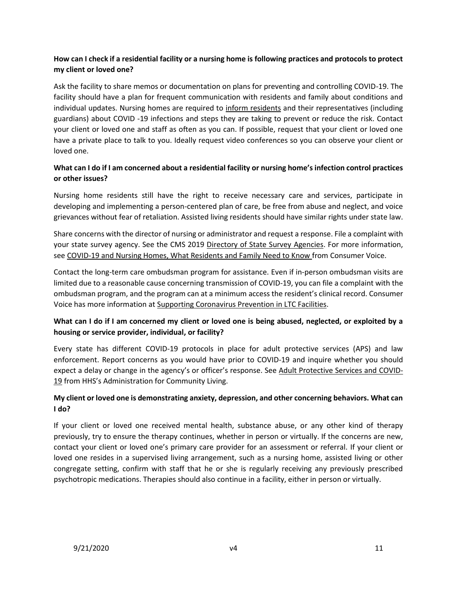# **How can I check if a residential facility or a nursing home is following practices and protocols to protect my client or loved one?**

Ask the facility to share memos or documentation on plans for preventing and controlling COVID-19. The facility should have a plan for frequent communication with residents and family about conditions and individual updates. Nursing homes are required to [inform residents](#page-4-0) and their representatives (including guardians) about COVID -19 infections and steps they are taking to prevent or reduce the risk. Contact your client or loved one and staff as often as you can. If possible, request that your client or loved one have a private place to talk to you. Ideally request video conferences so you can observe your client or loved one.

# **What can I do if I am concerned about a residential facility or nursing home's infection control practices or other issues?**

Nursing home residents still have the right to receive necessary care and services, participate in developing and implementing a person-centered plan of care, be free from abuse and neglect, and voice grievances without fear of retaliation. Assisted living residents should have similar rights under state law.

Share concerns with the director of nursing or administrator and request a response. File a complaint with your state survey agency. See the CMS 2019 [Directory of State Survey Agencies.](https://www.cms.gov/Medicare/Provider-Enrollment-and-Certification/SurveyCertificationGenInfo/ContactInformation) For more information, se[e COVID-19 and Nursing Homes, What Residents and Family Need to Know](https://theconsumervoice.org/uploads/files/general/covid-19-consumer-fact-sheet.pdf) from Consumer Voice.

Contact the long-term care ombudsman program for assistance. Even if in-person ombudsman visits are limited due to a reasonable cause concerning transmission of COVID-19, you can file a complaint with the ombudsman program, and the program can at a minimum access the resident's clinical record. Consumer Voice has more information at [Supporting Coronavirus Prevention in LTC Facilities.](https://theconsumervoice.org/issues/other-issues-and-resources/covid-19)

# **What can I do if I am concerned my client or loved one is being abused, neglected, or exploited by a housing or service provider, individual, or facility?**

Every state has different COVID-19 protocols in place for adult protective services (APS) and law enforcement. Report concerns as you would have prior to COVID-19 and inquire whether you should expect a delay or change in the agency's or officer's response. See [Adult Protective Services and COVID-](https://acl.gov/sites/default/files/common/APS%20%20COVID-19%20FORMATTED.docx)[19](https://acl.gov/sites/default/files/common/APS%20%20COVID-19%20FORMATTED.docx) from HHS's Administration for Community Living.

## **My client or loved one is demonstrating anxiety, depression, and other concerning behaviors. What can I do?**

If your client or loved one received mental health, substance abuse, or any other kind of therapy previously, try to ensure the therapy continues, whether in person or virtually. If the concerns are new, contact your client or loved one's primary care provider for an assessment or referral. If your client or loved one resides in a supervised living arrangement, such as a nursing home, assisted living or other congregate setting, confirm with staff that he or she is regularly receiving any previously prescribed psychotropic medications. Therapies should also continue in a facility, either in person or virtually.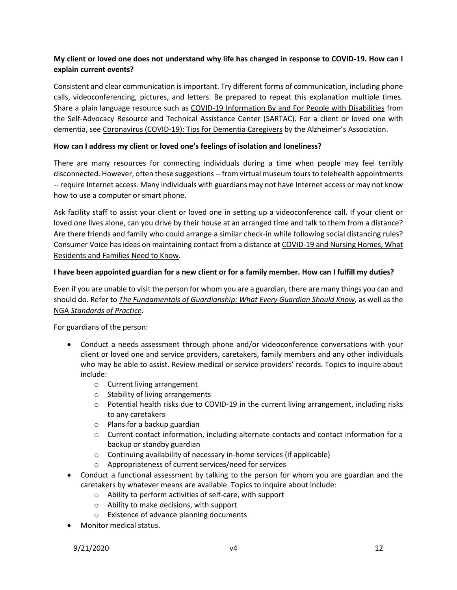# **My client or loved one does not understand why life has changed in response to COVID-19. How can I explain current events?**

Consistent and clear communication is important. Try different forms of communication, including phone calls, videoconferencing, pictures, and letters. Be prepared to repeat this explanation multiple times. Share a plain language resource such as [COVID-19 Information By and For People with Disabilities](https://selfadvocacyinfo.org/wp-content/uploads/2020/03/Plain-Language-Information-on-Coronavirus.pdf) from the Self-Advocacy Resource and Technical Assistance Center (SARTAC). For a client or loved one with dementia, see [Coronavirus \(COVID-19\): Tips for Dementia Caregivers](https://alz.org/help-support/caregiving/coronavirus-(covid-19)-tips-for-dementia-care) by the Alzheimer's Association.

#### **How can I address my client or loved one's feelings of isolation and loneliness?**

There are many resources for connecting individuals during a time when people may feel terribly disconnected. However, often these suggestions -- from virtual museum tours to telehealth appointments -- require Internet access. Many individuals with guardians may not have Internet access or may not know how to use a computer or smart phone.

Ask facility staff to assist your client or loved one in setting up a videoconference call. If your client or loved one lives alone, can you drive by their house at an arranged time and talk to them from a distance? Are there friends and family who could arrange a similar check-in while following social distancing rules? Consumer Voice has ideas on maintaining contact from a distance at [COVID-19 and Nursing Homes, What](https://theconsumervoice.org/uploads/files/general/covid-19-consumer-fact-sheet.pdf)  [Residents and Families Need to Know.](https://theconsumervoice.org/uploads/files/general/covid-19-consumer-fact-sheet.pdf)

#### **I have been appointed guardian for a new client or for a family member. How can I fulfill my duties?**

Even if you are unable to visit the person for whom you are a guardian, there are many things you can and should do. Refer to *[The Fundamentals of Guardianship: What Every Guardian Should Know,](https://www.amazon.com/Fundamentals-Guardianship-Every-Guardian-Should/dp/1634257219/ref=sr_1_1?dchild=1&keywords=Fundamentals+of+Guardianship&qid=1586884629&s=books&sr=1-1)* as well as the NGA *[Standards of Practice](http://www.guardianship.org/standards)*.

For guardians of the person:

- Conduct a needs assessment through phone and/or videoconference conversations with your client or loved one and service providers, caretakers, family members and any other individuals who may be able to assist. Review medical or service providers' records. Topics to inquire about include:
	- o Current living arrangement
	- o Stability of living arrangements
	- o Potential health risks due to COVID-19 in the current living arrangement, including risks to any caretakers
	- o Plans for a backup guardian
	- $\circ$  Current contact information, including alternate contacts and contact information for a backup or standby guardian
	- o Continuing availability of necessary in-home services (if applicable)
	- o Appropriateness of current services/need for services
- Conduct a functional assessment by talking to the person for whom you are guardian and the caretakers by whatever means are available. Topics to inquire about include:
	- o Ability to perform activities of self-care, with support
	- o Ability to make decisions, with support
	- o Existence of advance planning documents
- Monitor medical status.

9/21/2020 v4 12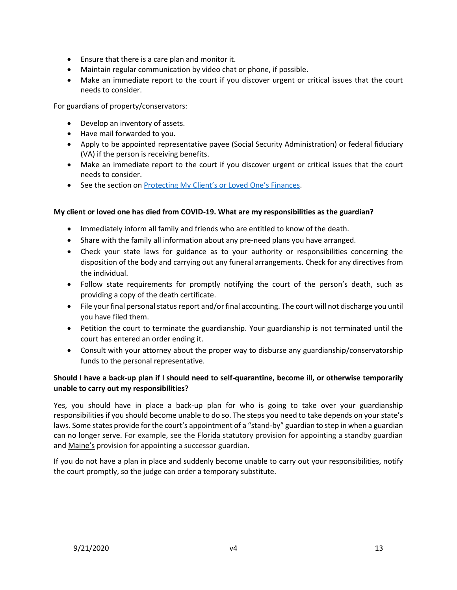- Ensure that there is a care plan and monitor it.
- Maintain regular communication by video chat or phone, if possible.
- Make an immediate report to the court if you discover urgent or critical issues that the court needs to consider.

For guardians of property/conservators:

- Develop an inventory of assets.
- Have mail forwarded to you.
- Apply to be appointed representative payee (Social Security Administration) or federal fiduciary (VA) if the person is receiving benefits.
- Make an immediate report to the court if you discover urgent or critical issues that the court needs to consider.
- See the section on Protecting My Client's [or Loved One's Finances](#page-16-0).

#### **My client or loved one has died from COVID-19. What are my responsibilities as the guardian?**

- Immediately inform all family and friends who are entitled to know of the death.
- Share with the family all information about any pre-need plans you have arranged.
- Check your state laws for guidance as to your authority or responsibilities concerning the disposition of the body and carrying out any funeral arrangements. Check for any directives from the individual.
- Follow state requirements for promptly notifying the court of the person's death, such as providing a copy of the death certificate.
- File your final personal status report and/or final accounting. The court will not discharge you until you have filed them.
- Petition the court to terminate the guardianship. Your guardianship is not terminated until the court has entered an order ending it.
- Consult with your attorney about the proper way to disburse any guardianship/conservatorship funds to the personal representative.

# **Should I have a back-up plan if I should need to self-quarantine, become ill, or otherwise temporarily unable to carry out my responsibilities?**

Yes, you should have in place a back-up plan for who is going to take over your guardianship responsibilities if you should become unable to do so. The steps you need to take depends on your state's laws. Some states provide for the court's appointment of a "stand-by" guardian to step in when a guardian can no longer serve. For example, see the **[Florida](http://www.flsenate.gov/Laws/Statutes/2018/0744.304)** statutory provision for appointing a standby guardian and [Maine's](http://www.legislature.maine.gov/legis/statutes/18-C/title18-Csec5-111.html) provision for appointing a successor guardian.

<span id="page-12-0"></span>If you do not have a plan in place and suddenly become unable to carry out your responsibilities, notify the court promptly, so the judge can order a temporary substitute.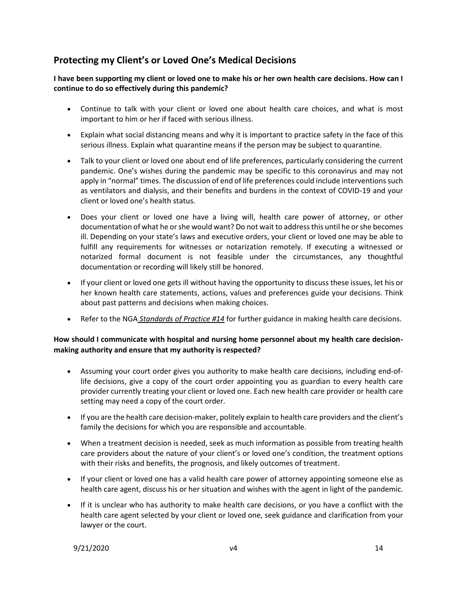# **Protecting my Client's or Loved One's Medical Decisions**

**I have been supporting my client or loved one to make his or her own health care decisions. How can I continue to do so effectively during this pandemic?** 

- Continue to talk with your client or loved one about health care choices, and what is most important to him or her if faced with serious illness.
- Explain what social distancing means and why it is important to practice safety in the face of this serious illness. Explain what quarantine means if the person may be subject to quarantine.
- Talk to your client or loved one about end of life preferences, particularly considering the current pandemic. One's wishes during the pandemic may be specific to this coronavirus and may not apply in "normal" times. The discussion of end of life preferences could include interventions such as ventilators and dialysis, and their benefits and burdens in the context of COVID-19 and your client or loved one's health status.
- Does your client or loved one have a living will, health care power of attorney, or other documentation of what he or she would want? Do not wait to address this until he or she becomes ill. Depending on your state's laws and executive orders, your client or loved one may be able to fulfill any requirements for witnesses or notarization remotely. If executing a witnessed or notarized formal document is not feasible under the circumstances, any thoughtful documentation or recording will likely still be honored.
- If your client or loved one gets ill without having the opportunity to discuss these issues, let his or her known health care statements, actions, values and preferences guide your decisions. Think about past patterns and decisions when making choices.
- Refer to the NGA *[Standards of Practice](https://www.guardianship.org/standards/) #14* for further guidance in making health care decisions.

## **How should I communicate with hospital and nursing home personnel about my health care decisionmaking authority and ensure that my authority is respected?**

- Assuming your court order gives you authority to make health care decisions, including end-oflife decisions, give a copy of the court order appointing you as guardian to every health care provider currently treating your client or loved one. Each new health care provider or health care setting may need a copy of the court order.
- If you are the health care decision-maker, politely explain to health care providers and the client's family the decisions for which you are responsible and accountable.
- When a treatment decision is needed, seek as much information as possible from treating health care providers about the nature of your client's or loved one's condition, the treatment options with their risks and benefits, the prognosis, and likely outcomes of treatment.
- If your client or loved one has a valid health care power of attorney appointing someone else as health care agent, discuss his or her situation and wishes with the agent in light of the pandemic.
- If it is unclear who has authority to make health care decisions, or you have a conflict with the health care agent selected by your client or loved one, seek guidance and clarification from your lawyer or the court.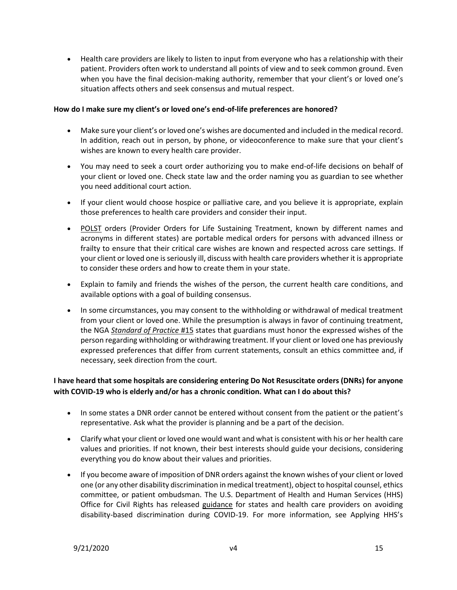• Health care providers are likely to listen to input from everyone who has a relationship with their patient. Providers often work to understand all points of view and to seek common ground. Even when you have the final decision-making authority, remember that your client's or loved one's situation affects others and seek consensus and mutual respect.

#### **How do I make sure my client's or loved one's end-of-life preferences are honored?**

- Make sure your client's or loved one's wishes are documented and included in the medical record. In addition, reach out in person, by phone, or videoconference to make sure that your client's wishes are known to every health care provider.
- You may need to seek a court order authorizing you to make end-of-life decisions on behalf of your client or loved one. Check state law and the order naming you as guardian to see whether you need additional court action.
- If your client would choose hospice or palliative care, and you believe it is appropriate, explain those preferences to health care providers and consider their input.
- [POLST](https://polst.org/) orders (Provider Orders for Life Sustaining Treatment, known by different names and acronyms in different states) are portable medical orders for persons with advanced illness or frailty to ensure that their critical care wishes are known and respected across care settings. If your client or loved one is seriously ill, discuss with health care providers whether it is appropriate to consider these orders and how to create them in your state.
- Explain to family and friends the wishes of the person, the current health care conditions, and available options with a goal of building consensus.
- In some circumstances, you may consent to the withholding or withdrawal of medical treatment from your client or loved one. While the presumption is always in favor of continuing treatment, the NGA *[Standard of Practice](http://www.guardianship.org/standards)* #15 states that guardians must honor the expressed wishes of the person regarding withholding or withdrawing treatment. If your client or loved one has previously expressed preferences that differ from current statements, consult an ethics committee and, if necessary, seek direction from the court.

# **I have heard that some hospitals are considering entering Do Not Resuscitate orders (DNRs) for anyone with COVID-19 who is elderly and/or has a chronic condition. What can I do about this?**

- In some states a DNR order cannot be entered without consent from the patient or the patient's representative. Ask what the provider is planning and be a part of the decision.
- Clarify what your client or loved one would want and what is consistent with his or her health care values and priorities. If not known, their best interests should guide your decisions, considering everything you do know about their values and priorities.
- If you become aware of imposition of DNR orders against the known wishes of your client or loved one (or any other disability discrimination in medical treatment), object to hospital counsel, ethics committee, or patient ombudsman. The U.S. Department of Health and Human Services (HHS) Office for Civil Rights has released [guidance](https://www.hhs.gov/sites/default/files/ocr-bulletin-3-28-20.pdf?language=es) for states and health care providers on avoiding disability-based discrimination during COVID-19. For more information, see Applying HHS's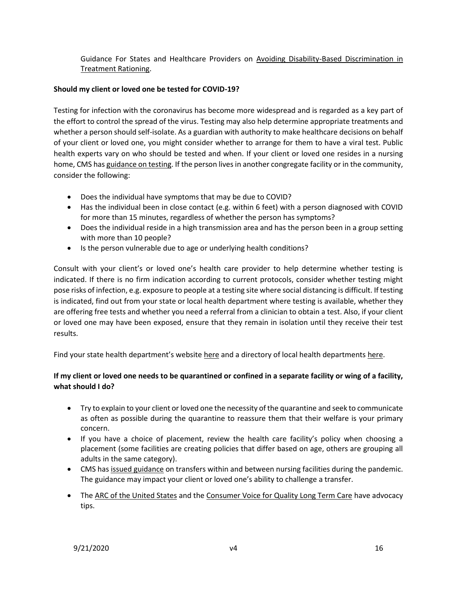Guidance For States and Healthcare Providers on [Avoiding Disability-Based Discrimination in](https://dredf.org/avoiding-disability-based-discrimination-in-treatment-rationing/)  [Treatment Rationing.](https://dredf.org/avoiding-disability-based-discrimination-in-treatment-rationing/)

#### **Should my client or loved one be tested for COVID-19?**

Testing for infection with the coronavirus has become more widespread and is regarded as a key part of the effort to control the spread of the virus. Testing may also help determine appropriate treatments and whether a person should self-isolate. As a guardian with authority to make healthcare decisions on behalf of your client or loved one, you might consider whether to arrange for them to have a viral test. Public health experts vary on who should be tested and when. If your client or loved one resides in a nursing home, CMS ha[s guidance on testing.](#page-6-1) If the person lives in another congregate facility or in the community, consider the following:

- Does the individual have symptoms that may be due to COVID?
- Has the individual been in close contact (e.g. within 6 feet) with a person diagnosed with COVID for more than 15 minutes, regardless of whether the person has symptoms?
- Does the individual reside in a high transmission area and has the person been in a group setting with more than 10 people?
- Is the person vulnerable due to age or underlying health conditions?

Consult with your client's or loved one's health care provider to help determine whether testing is indicated. If there is no firm indication according to current protocols, consider whether testing might pose risks of infection, e.g. exposure to people at a testing site where social distancing is difficult. If testing is indicated, find out from your state or local health department where testing is available, whether they are offering free tests and whether you need a referral from a clinician to obtain a test. Also, if your client or loved one may have been exposed, ensure that they remain in isolation until they receive their test results.

Find your state health department's website [here](https://www.cdc.gov/publichealthgateway/healthdirectories/healthdepartments.html) and a directory of local health department[s here.](https://www.naccho.org/membership/lhd-directory)

# **If my client or loved one needs to be quarantined or confined in a separate facility or wing of a facility, what should I do?**

- Try to explain to your client or loved one the necessity of the quarantine and seek to communicate as often as possible during the quarantine to reassure them that their welfare is your primary concern.
- If you have a choice of placement, review the health care facility's policy when choosing a placement (some facilities are creating policies that differ based on age, others are grouping all adults in the same category).
- CMS ha[s issued guidance](#page-5-0) on transfers within and between nursing facilities during the pandemic. The guidance may impact your client or loved one's ability to challenge a transfer.
- The [ARC of the United States](https://thearc.org/) and th[e Consumer Voice for Quality Long Term Care](https://theconsumervoice.org/) have advocacy tips.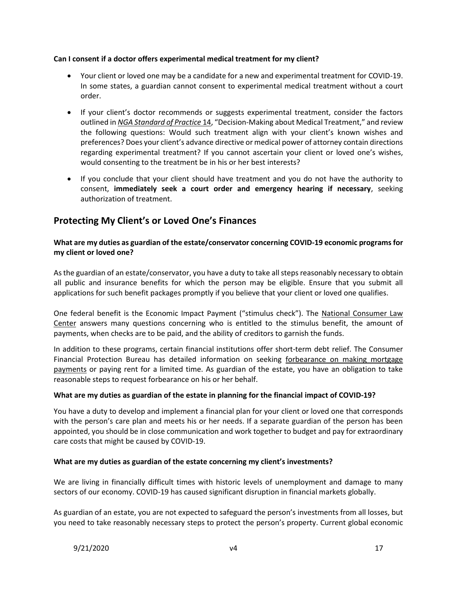#### **Can I consent if a doctor offers experimental medical treatment for my client?**

- Your client or loved one may be a candidate for a new and experimental treatment for COVID-19. In some states, a guardian cannot consent to experimental medical treatment without a court order.
- If your client's doctor recommends or suggests experimental treatment, consider the factors outlined in *[NGA Standard of Practice](http://www.guardianship.org/standards)* 14, "Decision-Making about Medical Treatment," and review the following questions: Would such treatment align with your client's known wishes and preferences? Does your client's advance directive or medical power of attorney contain directions regarding experimental treatment? If you cannot ascertain your client or loved one's wishes, would consenting to the treatment be in his or her best interests?
- If you conclude that your client should have treatment and you do not have the authority to consent, **immediately seek a court order and emergency hearing if necessary**, seeking authorization of treatment.

# <span id="page-16-0"></span>**Protecting My Client's or Loved One's Finances**

## **What are my duties as guardian of the estate/conservator concerning COVID-19 economic programs for my client or loved one?**

As the guardian of an estate/conservator, you have a duty to take all steps reasonably necessary to obtain all public and insurance benefits for which the person may be eligible. Ensure that you submit all applications for such benefit packages promptly if you believe that your client or loved one qualifies.

One federal benefit is the Economic Impact Payment ("stimulus check"). The [National Consumer Law](https://drive.google.com/file/d/1qDSnSg_AXvzOCyegmJoX6h3_ljN-In9S/view)  [Center](https://drive.google.com/file/d/1qDSnSg_AXvzOCyegmJoX6h3_ljN-In9S/view) answers many questions concerning who is entitled to the stimulus benefit, the amount of payments, when checks are to be paid, and the ability of creditors to garnish the funds.

In addition to these programs, certain financial institutions offer short-term debt relief. The Consumer Financial Protection Bureau has detailed information on seeking [forbearance on making mortgage](https://www.consumerfinance.gov/about-us/blog/guide-coronavirus-mortgage-relief-options/)  [payments](https://www.consumerfinance.gov/about-us/blog/guide-coronavirus-mortgage-relief-options/) or paying rent for a limited time. As guardian of the estate, you have an obligation to take reasonable steps to request forbearance on his or her behalf.

## **What are my duties as guardian of the estate in planning for the financial impact of COVID-19?**

You have a duty to develop and implement a financial plan for your client or loved one that corresponds with the person's care plan and meets his or her needs. If a separate guardian of the person has been appointed, you should be in close communication and work together to budget and pay for extraordinary care costs that might be caused by COVID-19.

#### **What are my duties as guardian of the estate concerning my client's investments?**

We are living in financially difficult times with historic levels of unemployment and damage to many sectors of our economy. COVID-19 has caused significant disruption in financial markets globally.

As guardian of an estate, you are not expected to safeguard the person's investments from all losses, but you need to take reasonably necessary steps to protect the person's property. Current global economic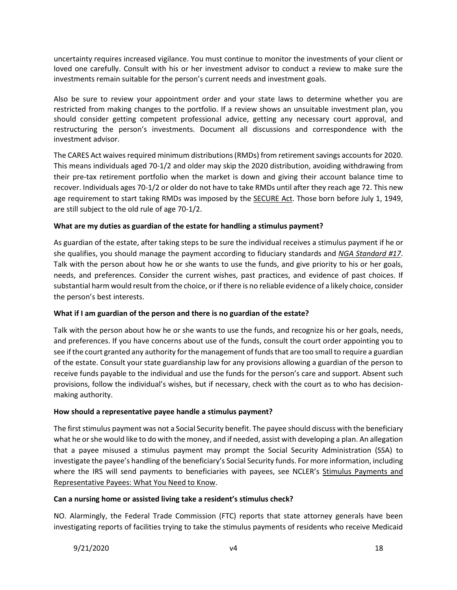uncertainty requires increased vigilance. You must continue to monitor the investments of your client or loved one carefully. Consult with his or her investment advisor to conduct a review to make sure the investments remain suitable for the person's current needs and investment goals.

Also be sure to review your appointment order and your state laws to determine whether you are restricted from making changes to the portfolio. If a review shows an unsuitable investment plan, you should consider getting competent professional advice, getting any necessary court approval, and restructuring the person's investments. Document all discussions and correspondence with the investment advisor.

The CARES Act waives required minimum distributions (RMDs) from retirement savings accounts for 2020. This means individuals aged 70-1/2 and older may skip the 2020 distribution, avoiding withdrawing from their pre-tax retirement portfolio when the market is down and giving their account balance time to recover. Individuals ages 70-1/2 or older do not have to take RMDs until after they reach age 72. This new age requirement to start taking RMDs was imposed by the **SECURE Act.** Those born before July 1, 1949, are still subject to the old rule of age 70-1/2.

## **What are my duties as guardian of the estate for handling a stimulus payment?**

As guardian of the estate, after taking steps to be sure the individual receives a stimulus payment if he or she qualifies, you should manage the payment according to fiduciary standards and *[NGA Standard](http://www.guardianship.org/standards) #17*. Talk with the person about how he or she wants to use the funds, and give priority to his or her goals, needs, and preferences. Consider the current wishes, past practices, and evidence of past choices. If substantial harm would result from the choice, or if there is no reliable evidence of a likely choice, consider the person's best interests.

## **What if I am guardian of the person and there is no guardian of the estate?**

Talk with the person about how he or she wants to use the funds, and recognize his or her goals, needs, and preferences. If you have concerns about use of the funds, consult the court order appointing you to see if the court granted any authority for the management of funds that are too small to require a guardian of the estate. Consult your state guardianship law for any provisions allowing a guardian of the person to receive funds payable to the individual and use the funds for the person's care and support. Absent such provisions, follow the individual's wishes, but if necessary, check with the court as to who has decisionmaking authority.

## **How should a representative payee handle a stimulus payment?**

The first stimulus payment was not a Social Security benefit. The payee should discuss with the beneficiary what he or she would like to do with the money, and if needed, assist with developing a plan. An allegation that a payee misused a stimulus payment may prompt the Social Security Administration (SSA) to investigate the payee's handling of the beneficiary's Social Security funds. For more information, including where the IRS will send payments to beneficiaries with payees, see NCLER's [Stimulus Payments and](https://ncler.acl.gov/getattachment/Resources/Stimulus-Payments-and-Rep-Payees.pdf.aspx?lang=en-US&eType=EmailBlastContent&eId=cde03810-62b7-4df1-b5b7-842410927e43)  [Representative Payees: What You Need to Know.](https://ncler.acl.gov/getattachment/Resources/Stimulus-Payments-and-Rep-Payees.pdf.aspx?lang=en-US&eType=EmailBlastContent&eId=cde03810-62b7-4df1-b5b7-842410927e43)

#### **Can a nursing home or assisted living take a resident's stimulus check?**

NO. Alarmingly, the Federal Trade Commission (FTC) reports that state attorney generals have been investigating reports of facilities trying to take the stimulus payments of residents who receive Medicaid

9/21/2020 v4 18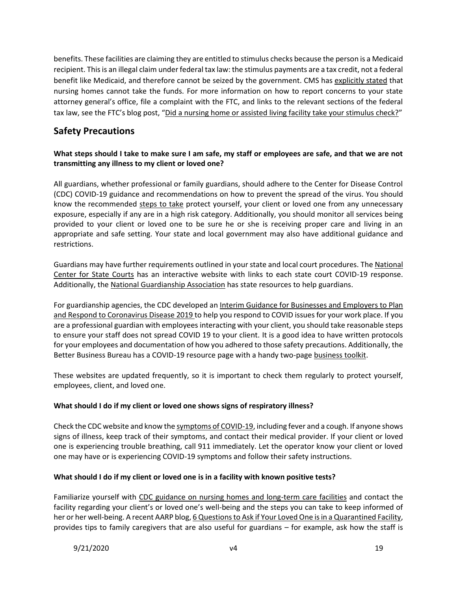benefits. These facilities are claiming they are entitled to stimulus checks because the person is a Medicaid recipient. This is an illegal claim under federal tax law: the stimulus payments are a tax credit, not a federal benefit like Medicaid, and therefore cannot be seized by the government. CMS has [explicitly stated](https://content.govdelivery.com/accounts/USCMSMEDICAID/bulletins/2904777) that nursing homes cannot take the funds. For more information on how to report concerns to your state attorney general's office, file a complaint with the FTC, and links to the relevant sections of the federal tax law, see the FTC's blog post, "[Did a nursing home or assisted living facility take your stimulus check?](https://www.consumer.ftc.gov/blog/2020/05/did-nursing-home-or-assisted-living-facility-take-your-stimulus-check)"

# <span id="page-18-0"></span>**Safety Precautions**

# **What steps should I take to make sure I am safe, my staff or employees are safe, and that we are not transmitting any illness to my client or loved one?**

All guardians, whether professional or family guardians, should adhere to the Center for Disease Control (CDC) COVID-19 guidance and recommendations on how to prevent the spread of the virus. You should know the recommended [steps to take](https://www.cdc.gov/coronavirus/2019-ncov/prevent-getting-sick/prevention.html) protect yourself, your client or loved one from any unnecessary exposure, especially if any are in a high risk category. Additionally, you should monitor all services being provided to your client or loved one to be sure he or she is receiving proper care and living in an appropriate and safe setting. Your state and local government may also have additional guidance and restrictions.

Guardians may have further requirements outlined in your state and local court procedures. Th[e National](https://www.ncsc.org/)  [Center for State Courts](https://www.ncsc.org/) has an interactive website with links to each state court COVID-19 response. Additionally, the [National Guardianship Association](https://www.guardianship.org/covid-19-resources/) has state resources to help guardians.

For guardianship agencies, the CDC developed an Interim Guidance for Businesses and Employers to Plan [and Respond to Coronavirus Disease 2019](https://www.cdc.gov/coronavirus/2019-ncov/community/guidance-business-response.html) to help you respond to COVID issues for your work place. If you are a professional guardian with employees interacting with your client, you should take reasonable steps to ensure your staff does not spread COVID 19 to your client. It is a good idea to have written protocols for your employees and documentation of how you adhered to those safety precautions. Additionally, the Better Business Bureau has a COVID-19 resource page with a handy two-pag[e business toolkit.](https://www.bbb.org/globalassets/local-bbbs/council-113/coronavirus/bbb-coronavirus-report-us.pdf)

These websites are updated frequently, so it is important to check them regularly to protect yourself, employees, client, and loved one.

## **What should I do if my client or loved one shows signs of respiratory illness?**

Check the CDC website and know th[e symptoms of COVID-19,](https://www.cdc.gov/coronavirus/2019-ncov/symptoms-testing/symptoms.html) including fever and a cough. If anyone shows signs of illness, keep track of their symptoms, and contact their medical provider. If your client or loved one is experiencing trouble breathing, call 911 immediately. Let the operator know your client or loved one may have or is experiencing COVID-19 symptoms and follow their safety instructions.

## **What should I do if my client or loved one is in a facility with known positive tests?**

Familiarize yourself with [CDC guidance on nursing homes and long-term care facilities](https://www.cdc.gov/coronavirus/2019-ncov/hcp/long-term-care.html) and contact the facility regarding your client's or loved one's well-being and the steps you can take to keep informed of her or her well-being. A recent AARP blog[, 6 Questions to Ask if Your Loved One is in a Quarantined Facility,](https://www.aarp.org/caregiving/health/info-2020/questions-for-quarantined-facility.html) provides tips to family caregivers that are also useful for guardians – for example, ask how the staff is